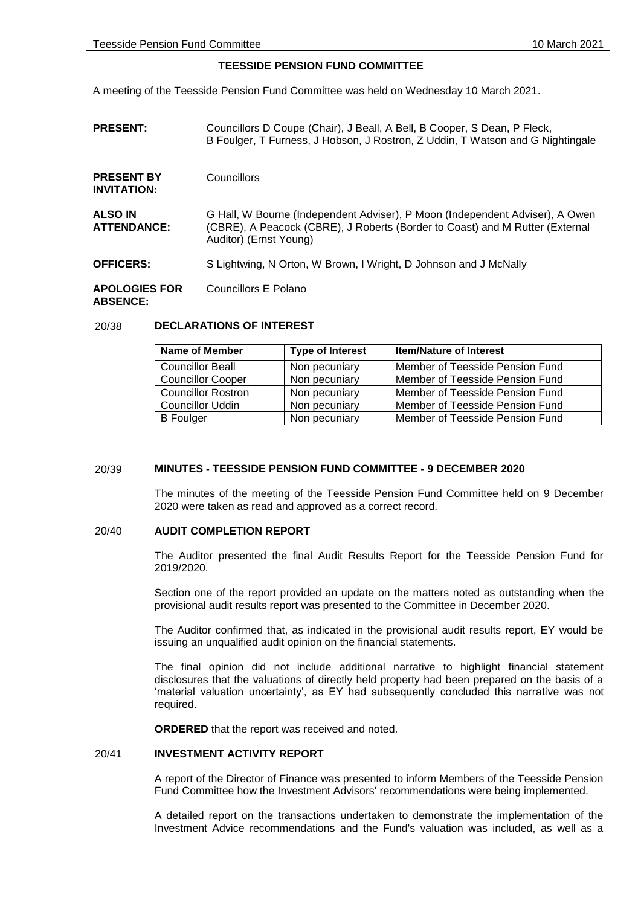# **TEESSIDE PENSION FUND COMMITTEE**

A meeting of the Teesside Pension Fund Committee was held on Wednesday 10 March 2021.

| <b>PRESENT:</b>                         | Councillors D Coupe (Chair), J Beall, A Bell, B Cooper, S Dean, P Fleck,<br>B Foulger, T Furness, J Hobson, J Rostron, Z Uddin, T Watson and G Nightingale                             |  |
|-----------------------------------------|----------------------------------------------------------------------------------------------------------------------------------------------------------------------------------------|--|
| <b>PRESENT BY</b><br><b>INVITATION:</b> | Councillors                                                                                                                                                                            |  |
| <b>ALSO IN</b><br><b>ATTENDANCE:</b>    | G Hall, W Bourne (Independent Adviser), P Moon (Independent Adviser), A Owen<br>(CBRE), A Peacock (CBRE), J Roberts (Border to Coast) and M Rutter (External<br>Auditor) (Ernst Young) |  |
| <b>OFFICERS:</b>                        | S Lightwing, N Orton, W Brown, I Wright, D Johnson and J McNally                                                                                                                       |  |
| <b>APOLOGIES FOR</b><br><b>ABSENCE:</b> | Councillors E Polano                                                                                                                                                                   |  |

### 20/38 **DECLARATIONS OF INTEREST**

| Name of Member            | <b>Type of Interest</b> | <b>Item/Nature of Interest</b>  |
|---------------------------|-------------------------|---------------------------------|
| <b>Councillor Beall</b>   | Non pecuniary           | Member of Teesside Pension Fund |
| <b>Councillor Cooper</b>  | Non pecuniary           | Member of Teesside Pension Fund |
| <b>Councillor Rostron</b> | Non pecuniary           | Member of Teesside Pension Fund |
| <b>Councillor Uddin</b>   | Non pecuniary           | Member of Teesside Pension Fund |
| <b>B</b> Foulger          | Non pecuniary           | Member of Teesside Pension Fund |

### 20/39 **MINUTES - TEESSIDE PENSION FUND COMMITTEE - 9 DECEMBER 2020**

The minutes of the meeting of the Teesside Pension Fund Committee held on 9 December 2020 were taken as read and approved as a correct record.

#### 20/40 **AUDIT COMPLETION REPORT**

The Auditor presented the final Audit Results Report for the Teesside Pension Fund for 2019/2020.

Section one of the report provided an update on the matters noted as outstanding when the provisional audit results report was presented to the Committee in December 2020.

The Auditor confirmed that, as indicated in the provisional audit results report, EY would be issuing an unqualified audit opinion on the financial statements.

The final opinion did not include additional narrative to highlight financial statement disclosures that the valuations of directly held property had been prepared on the basis of a 'material valuation uncertainty', as EY had subsequently concluded this narrative was not required.

**ORDERED** that the report was received and noted.

## 20/41 **INVESTMENT ACTIVITY REPORT**

A report of the Director of Finance was presented to inform Members of the Teesside Pension Fund Committee how the Investment Advisors' recommendations were being implemented.

A detailed report on the transactions undertaken to demonstrate the implementation of the Investment Advice recommendations and the Fund's valuation was included, as well as a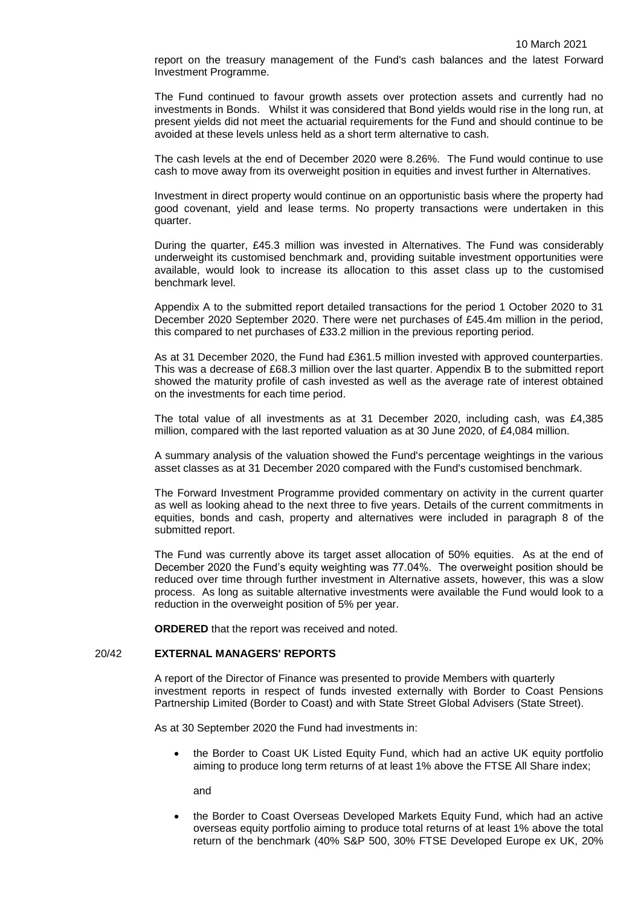report on the treasury management of the Fund's cash balances and the latest Forward Investment Programme.

The Fund continued to favour growth assets over protection assets and currently had no investments in Bonds. Whilst it was considered that Bond yields would rise in the long run, at present yields did not meet the actuarial requirements for the Fund and should continue to be avoided at these levels unless held as a short term alternative to cash.

The cash levels at the end of December 2020 were 8.26%. The Fund would continue to use cash to move away from its overweight position in equities and invest further in Alternatives.

Investment in direct property would continue on an opportunistic basis where the property had good covenant, yield and lease terms. No property transactions were undertaken in this quarter.

During the quarter, £45.3 million was invested in Alternatives. The Fund was considerably underweight its customised benchmark and, providing suitable investment opportunities were available, would look to increase its allocation to this asset class up to the customised benchmark level.

Appendix A to the submitted report detailed transactions for the period 1 October 2020 to 31 December 2020 September 2020. There were net purchases of £45.4m million in the period, this compared to net purchases of £33.2 million in the previous reporting period.

As at 31 December 2020, the Fund had £361.5 million invested with approved counterparties. This was a decrease of £68.3 million over the last quarter. Appendix B to the submitted report showed the maturity profile of cash invested as well as the average rate of interest obtained on the investments for each time period.

The total value of all investments as at 31 December 2020, including cash, was £4,385 million, compared with the last reported valuation as at 30 June 2020, of £4,084 million.

A summary analysis of the valuation showed the Fund's percentage weightings in the various asset classes as at 31 December 2020 compared with the Fund's customised benchmark.

The Forward Investment Programme provided commentary on activity in the current quarter as well as looking ahead to the next three to five years. Details of the current commitments in equities, bonds and cash, property and alternatives were included in paragraph 8 of the submitted report.

The Fund was currently above its target asset allocation of 50% equities. As at the end of December 2020 the Fund's equity weighting was 77.04%. The overweight position should be reduced over time through further investment in Alternative assets, however, this was a slow process. As long as suitable alternative investments were available the Fund would look to a reduction in the overweight position of 5% per year.

**ORDERED** that the report was received and noted.

## 20/42 **EXTERNAL MANAGERS' REPORTS**

A report of the Director of Finance was presented to provide Members with quarterly investment reports in respect of funds invested externally with Border to Coast Pensions Partnership Limited (Border to Coast) and with State Street Global Advisers (State Street).

As at 30 September 2020 the Fund had investments in:

• the Border to Coast UK Listed Equity Fund, which had an active UK equity portfolio aiming to produce long term returns of at least 1% above the FTSE All Share index;

and

 the Border to Coast Overseas Developed Markets Equity Fund, which had an active overseas equity portfolio aiming to produce total returns of at least 1% above the total return of the benchmark (40% S&P 500, 30% FTSE Developed Europe ex UK, 20%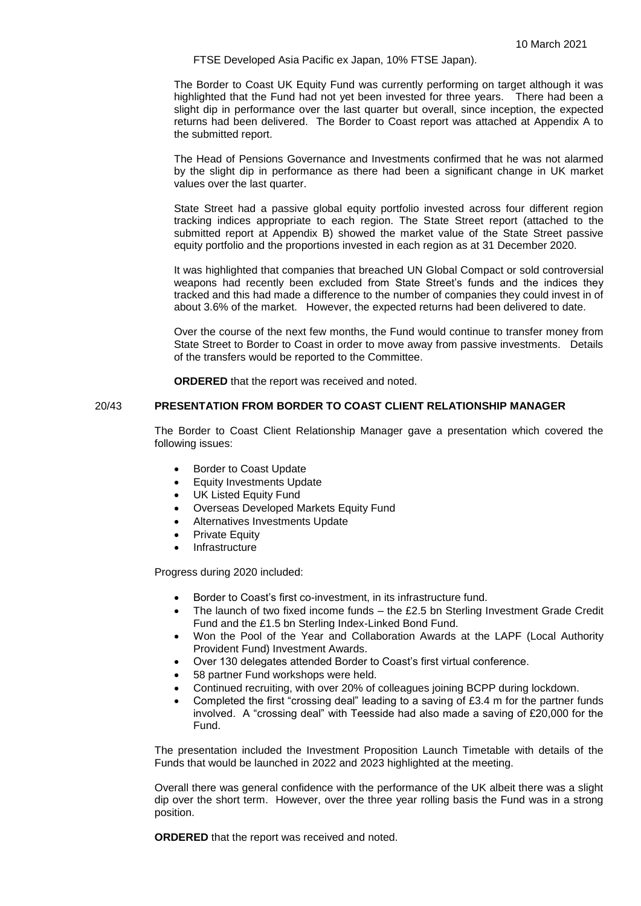FTSE Developed Asia Pacific ex Japan, 10% FTSE Japan).

The Border to Coast UK Equity Fund was currently performing on target although it was highlighted that the Fund had not yet been invested for three years. There had been a slight dip in performance over the last quarter but overall, since inception, the expected returns had been delivered. The Border to Coast report was attached at Appendix A to the submitted report.

The Head of Pensions Governance and Investments confirmed that he was not alarmed by the slight dip in performance as there had been a significant change in UK market values over the last quarter.

State Street had a passive global equity portfolio invested across four different region tracking indices appropriate to each region. The State Street report (attached to the submitted report at Appendix B) showed the market value of the State Street passive equity portfolio and the proportions invested in each region as at 31 December 2020.

It was highlighted that companies that breached UN Global Compact or sold controversial weapons had recently been excluded from State Street's funds and the indices they tracked and this had made a difference to the number of companies they could invest in of about 3.6% of the market. However, the expected returns had been delivered to date.

Over the course of the next few months, the Fund would continue to transfer money from State Street to Border to Coast in order to move away from passive investments. Details of the transfers would be reported to the Committee.

**ORDERED** that the report was received and noted.

# 20/43 **PRESENTATION FROM BORDER TO COAST CLIENT RELATIONSHIP MANAGER**

The Border to Coast Client Relationship Manager gave a presentation which covered the following issues:

- Border to Coast Update
- Equity Investments Update
- UK Listed Equity Fund
- Overseas Developed Markets Equity Fund
- Alternatives Investments Update
- Private Equity
- Infrastructure

Progress during 2020 included:

- Border to Coast's first co-investment, in its infrastructure fund.
- The launch of two fixed income funds the £2.5 bn Sterling Investment Grade Credit Fund and the £1.5 bn Sterling Index-Linked Bond Fund.
- Won the Pool of the Year and Collaboration Awards at the LAPF (Local Authority Provident Fund) Investment Awards.
- Over 130 delegates attended Border to Coast's first virtual conference.
- 58 partner Fund workshops were held.
- Continued recruiting, with over 20% of colleagues joining BCPP during lockdown.
- Completed the first "crossing deal" leading to a saving of £3.4 m for the partner funds involved. A "crossing deal" with Teesside had also made a saving of £20,000 for the Fund.

The presentation included the Investment Proposition Launch Timetable with details of the Funds that would be launched in 2022 and 2023 highlighted at the meeting.

Overall there was general confidence with the performance of the UK albeit there was a slight dip over the short term. However, over the three year rolling basis the Fund was in a strong position.

**ORDERED** that the report was received and noted.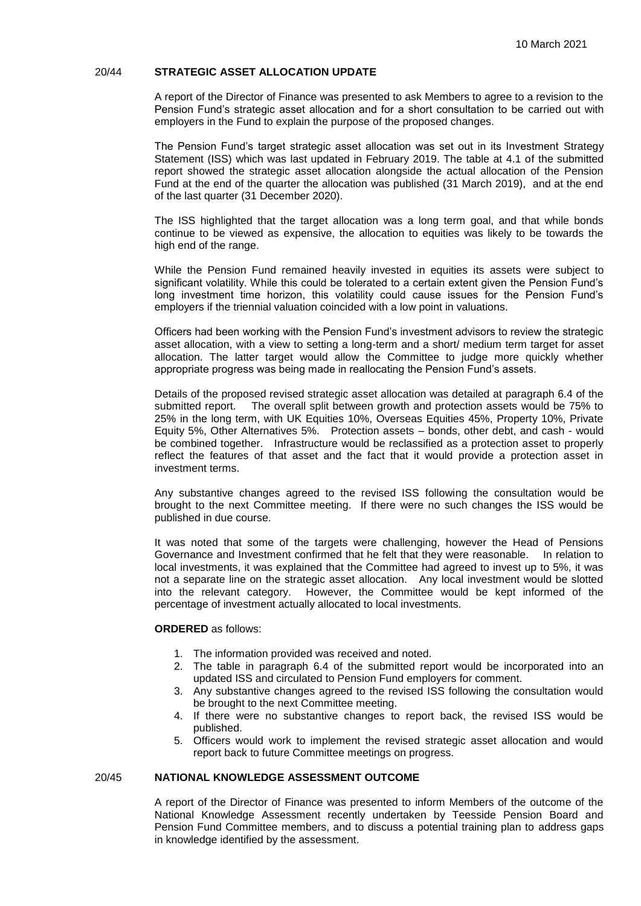## 20/44 **STRATEGIC ASSET ALLOCATION UPDATE**

A report of the Director of Finance was presented to ask Members to agree to a revision to the Pension Fund's strategic asset allocation and for a short consultation to be carried out with employers in the Fund to explain the purpose of the proposed changes.

The Pension Fund's target strategic asset allocation was set out in its Investment Strategy Statement (ISS) which was last updated in February 2019. The table at 4.1 of the submitted report showed the strategic asset allocation alongside the actual allocation of the Pension Fund at the end of the quarter the allocation was published (31 March 2019), and at the end of the last quarter (31 December 2020).

The ISS highlighted that the target allocation was a long term goal, and that while bonds continue to be viewed as expensive, the allocation to equities was likely to be towards the high end of the range.

While the Pension Fund remained heavily invested in equities its assets were subject to significant volatility. While this could be tolerated to a certain extent given the Pension Fund's long investment time horizon, this volatility could cause issues for the Pension Fund's employers if the triennial valuation coincided with a low point in valuations.

Officers had been working with the Pension Fund's investment advisors to review the strategic asset allocation, with a view to setting a long-term and a short/ medium term target for asset allocation. The latter target would allow the Committee to judge more quickly whether appropriate progress was being made in reallocating the Pension Fund's assets.

Details of the proposed revised strategic asset allocation was detailed at paragraph 6.4 of the submitted report. The overall split between growth and protection assets would be 75% to 25% in the long term, with UK Equities 10%, Overseas Equities 45%, Property 10%, Private Equity 5%, Other Alternatives 5%. Protection assets – bonds, other debt, and cash - would be combined together. Infrastructure would be reclassified as a protection asset to properly reflect the features of that asset and the fact that it would provide a protection asset in investment terms.

Any substantive changes agreed to the revised ISS following the consultation would be brought to the next Committee meeting. If there were no such changes the ISS would be published in due course.

It was noted that some of the targets were challenging, however the Head of Pensions Governance and Investment confirmed that he felt that they were reasonable. In relation to local investments, it was explained that the Committee had agreed to invest up to 5%, it was not a separate line on the strategic asset allocation. Any local investment would be slotted into the relevant category. However, the Committee would be kept informed of the percentage of investment actually allocated to local investments.

# **ORDERED** as follows:

- 1. The information provided was received and noted.
- 2. The table in paragraph 6.4 of the submitted report would be incorporated into an updated ISS and circulated to Pension Fund employers for comment.
- 3. Any substantive changes agreed to the revised ISS following the consultation would be brought to the next Committee meeting.
- 4. If there were no substantive changes to report back, the revised ISS would be published.
- 5. Officers would work to implement the revised strategic asset allocation and would report back to future Committee meetings on progress.

# 20/45 **NATIONAL KNOWLEDGE ASSESSMENT OUTCOME**

A report of the Director of Finance was presented to inform Members of the outcome of the National Knowledge Assessment recently undertaken by Teesside Pension Board and Pension Fund Committee members, and to discuss a potential training plan to address gaps in knowledge identified by the assessment.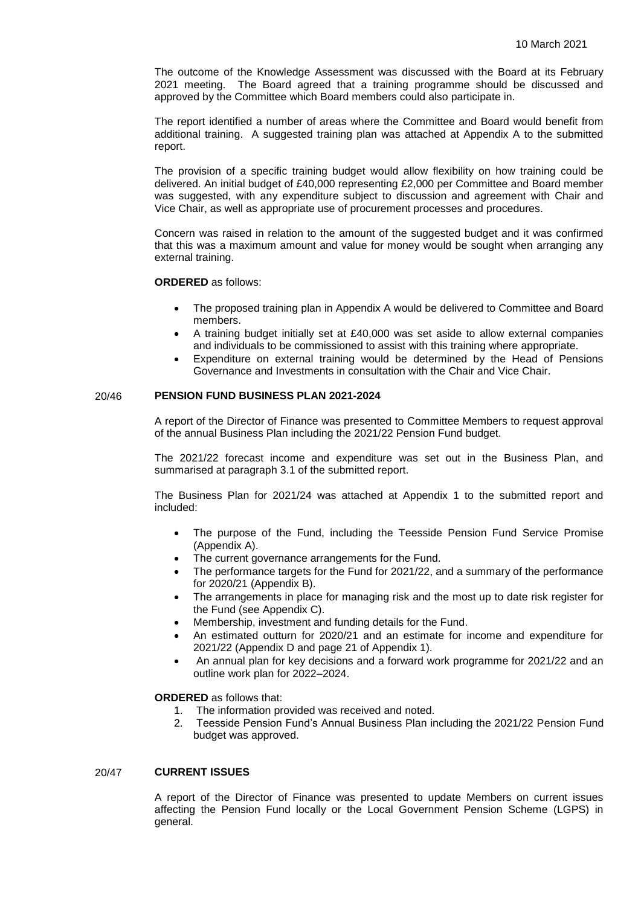The outcome of the Knowledge Assessment was discussed with the Board at its February 2021 meeting. The Board agreed that a training programme should be discussed and approved by the Committee which Board members could also participate in.

The report identified a number of areas where the Committee and Board would benefit from additional training. A suggested training plan was attached at Appendix A to the submitted report.

The provision of a specific training budget would allow flexibility on how training could be delivered. An initial budget of £40,000 representing £2,000 per Committee and Board member was suggested, with any expenditure subject to discussion and agreement with Chair and Vice Chair, as well as appropriate use of procurement processes and procedures.

Concern was raised in relation to the amount of the suggested budget and it was confirmed that this was a maximum amount and value for money would be sought when arranging any external training.

### **ORDERED** as follows:

- The proposed training plan in Appendix A would be delivered to Committee and Board members.
- A training budget initially set at £40,000 was set aside to allow external companies and individuals to be commissioned to assist with this training where appropriate.
- Expenditure on external training would be determined by the Head of Pensions Governance and Investments in consultation with the Chair and Vice Chair.

# 20/46 **PENSION FUND BUSINESS PLAN 2021-2024**

A report of the Director of Finance was presented to Committee Members to request approval of the annual Business Plan including the 2021/22 Pension Fund budget.

The 2021/22 forecast income and expenditure was set out in the Business Plan, and summarised at paragraph 3.1 of the submitted report.

The Business Plan for 2021/24 was attached at Appendix 1 to the submitted report and included:

- The purpose of the Fund, including the Teesside Pension Fund Service Promise (Appendix A).
- The current governance arrangements for the Fund.
- The performance targets for the Fund for 2021/22, and a summary of the performance for 2020/21 (Appendix B).
- The arrangements in place for managing risk and the most up to date risk register for the Fund (see Appendix C).
- Membership, investment and funding details for the Fund.
- An estimated outturn for 2020/21 and an estimate for income and expenditure for 2021/22 (Appendix D and page 21 of Appendix 1).
- An annual plan for key decisions and a forward work programme for 2021/22 and an outline work plan for 2022–2024.

#### **ORDERED** as follows that:

- 1. The information provided was received and noted.
- 2. Teesside Pension Fund's Annual Business Plan including the 2021/22 Pension Fund budget was approved.

## 20/47 **CURRENT ISSUES**

A report of the Director of Finance was presented to update Members on current issues affecting the Pension Fund locally or the Local Government Pension Scheme (LGPS) in general.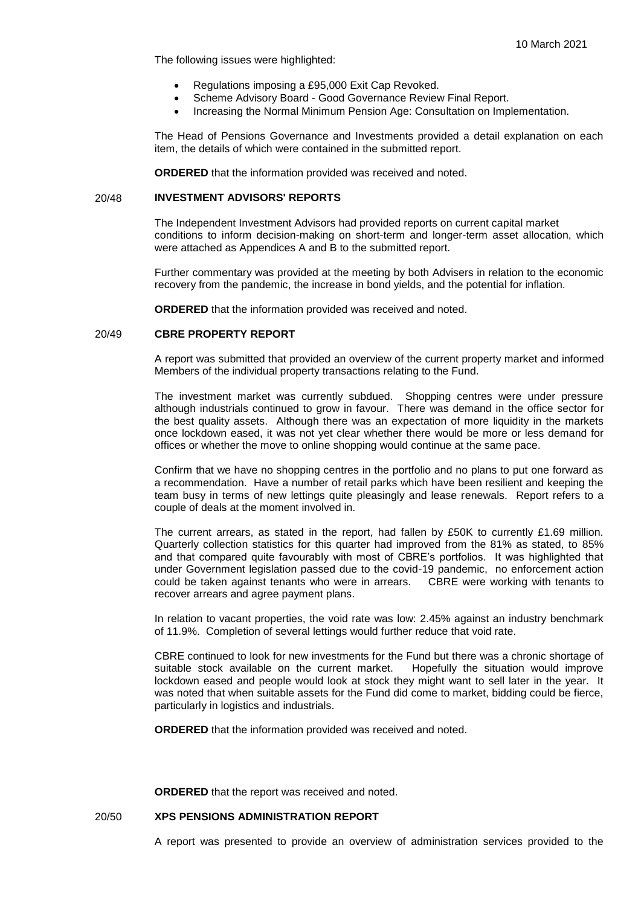The following issues were highlighted:

- Regulations imposing a £95,000 Exit Cap Revoked.
- Scheme Advisory Board Good Governance Review Final Report.
- Increasing the Normal Minimum Pension Age: Consultation on Implementation.

The Head of Pensions Governance and Investments provided a detail explanation on each item, the details of which were contained in the submitted report.

**ORDERED** that the information provided was received and noted.

# 20/48 **INVESTMENT ADVISORS' REPORTS**

The Independent Investment Advisors had provided reports on current capital market conditions to inform decision-making on short-term and longer-term asset allocation, which were attached as Appendices A and B to the submitted report.

Further commentary was provided at the meeting by both Advisers in relation to the economic recovery from the pandemic, the increase in bond yields, and the potential for inflation.

**ORDERED** that the information provided was received and noted.

#### 20/49 **CBRE PROPERTY REPORT**

A report was submitted that provided an overview of the current property market and informed Members of the individual property transactions relating to the Fund.

The investment market was currently subdued. Shopping centres were under pressure although industrials continued to grow in favour. There was demand in the office sector for the best quality assets. Although there was an expectation of more liquidity in the markets once lockdown eased, it was not yet clear whether there would be more or less demand for offices or whether the move to online shopping would continue at the same pace.

Confirm that we have no shopping centres in the portfolio and no plans to put one forward as a recommendation. Have a number of retail parks which have been resilient and keeping the team busy in terms of new lettings quite pleasingly and lease renewals. Report refers to a couple of deals at the moment involved in.

The current arrears, as stated in the report, had fallen by £50K to currently £1.69 million. Quarterly collection statistics for this quarter had improved from the 81% as stated, to 85% and that compared quite favourably with most of CBRE's portfolios. It was highlighted that under Government legislation passed due to the covid-19 pandemic, no enforcement action could be taken against tenants who were in arrears. CBRE were working with tenants to recover arrears and agree payment plans.

In relation to vacant properties, the void rate was low: 2.45% against an industry benchmark of 11.9%. Completion of several lettings would further reduce that void rate.

CBRE continued to look for new investments for the Fund but there was a chronic shortage of suitable stock available on the current market. Hopefully the situation would improve lockdown eased and people would look at stock they might want to sell later in the year. It was noted that when suitable assets for the Fund did come to market, bidding could be fierce, particularly in logistics and industrials.

**ORDERED** that the information provided was received and noted.

**ORDERED** that the report was received and noted.

### 20/50 **XPS PENSIONS ADMINISTRATION REPORT**

A report was presented to provide an overview of administration services provided to the